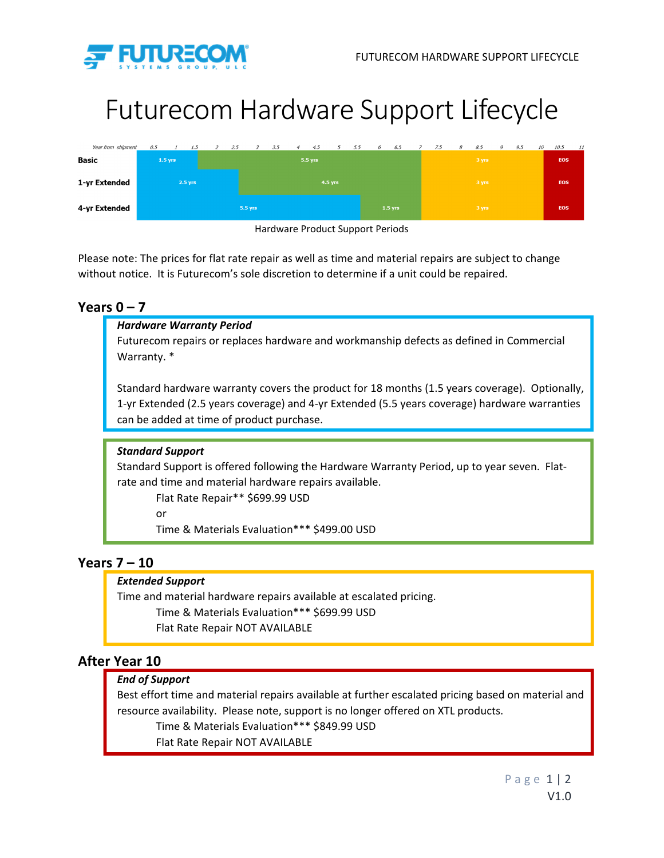

# Futurecom Hardware Support Lifecycle

| Year from shipment | 0.5       |  | 1.5 | $\overline{z}$ | 2.5     | $\mathcal{Z}$ | 3.5 | $\overline{4}$ | 4.5 | $\overline{5}$ | 5.5 | 6 | 6.5       | 7.5   | 8 | 8.5   | 9 | 9.5 | 10 | 10.5       | 11 |  |
|--------------------|-----------|--|-----|----------------|---------|---------------|-----|----------------|-----|----------------|-----|---|-----------|-------|---|-------|---|-----|----|------------|----|--|
| Basic              | $1.5$ yrs |  |     | 5.5 yrs        |         |               |     |                |     |                |     |   |           | 3 yrs |   |       |   |     |    | <b>EOS</b> |    |  |
| 1-yr Extended      | 2.5 yrs   |  |     |                | 4.5 yrs |               |     |                |     |                |     |   |           | 3 yrs |   |       |   |     |    | EOS        |    |  |
| 4-yr Extended      |           |  |     |                |         | 5.5 yrs       |     |                |     |                |     |   | $1.5$ yrs |       |   | 3 yrs |   |     |    | <b>EOS</b> |    |  |



Please note: The prices for flat rate repair as well as time and material repairs are subject to change without notice. It is Futurecom's sole discretion to determine if a unit could be repaired.

## **Years 0 – 7**

## *Hardware Warranty Period*

Futurecom repairs or replaces hardware and workmanship defects as defined in Commercial Warranty. \*

Standard hardware warranty covers the product for 18 months (1.5 years coverage). Optionally, 1‐yr Extended (2.5 years coverage) and 4‐yr Extended (5.5 years coverage) hardware warranties can be added at time of product purchase.

## *Standard Support*

Standard Support is offered following the Hardware Warranty Period, up to year seven. Flat‐ rate and time and material hardware repairs available.

Flat Rate Repair\*\* \$699.99 USD

or

Time & Materials Evaluation\*\*\* \$499.00 USD

## **Years 7 – 10**

## *Extended Support*

Time and material hardware repairs available at escalated pricing. Time & Materials Evaluation\*\*\* \$699.99 USD Flat Rate Repair NOT AVAILABLE

## **After Year 10**

## *End of Support*

Best effort time and material repairs available at further escalated pricing based on material and resource availability. Please note, support is no longer offered on XTL products.

Time & Materials Evaluation\*\*\* \$849.99 USD

Flat Rate Repair NOT AVAILABLE

Page 1 | 2 V1.0